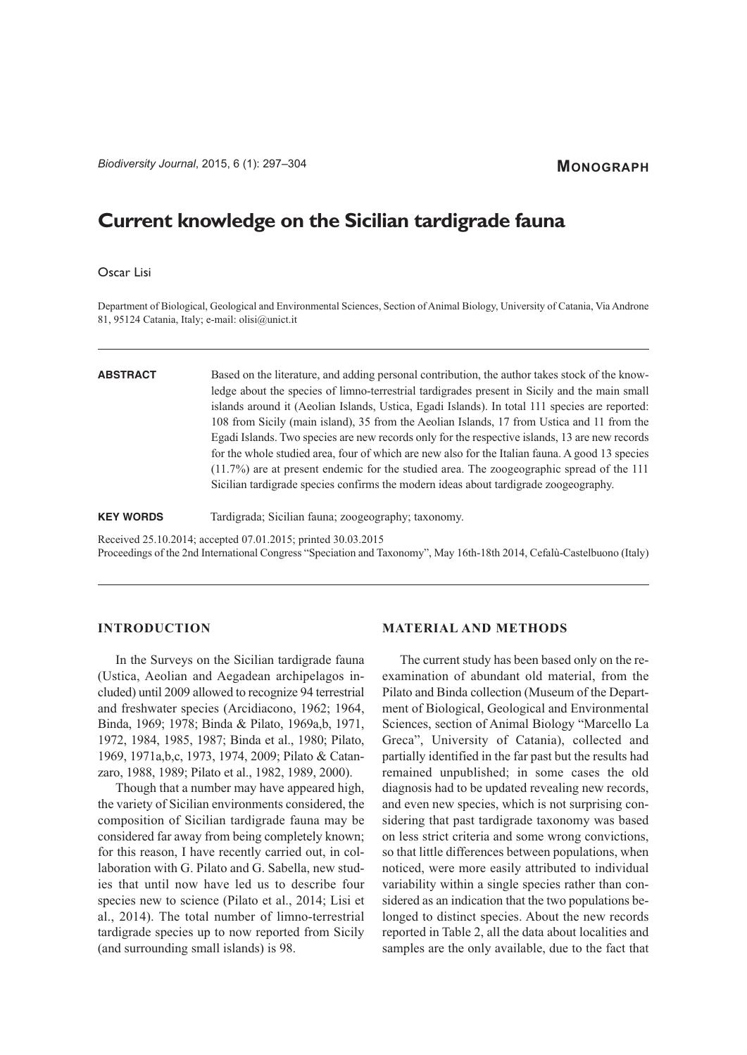# **MONOGRAPH**

# **Current knowledge on the Sicilian tardigrade fauna**

# Oscar Lisi

Department of Biological, Geological and Environmental Sciences, Section of Animal Biology, University of Catania, Via Androne 81, 95124 Catania, Italy; e-mail: olisi@unict.it

**ABSTRACT** Based on the literature, and adding personal contribution, the author takes stock of the knowledge about the species of limno-terrestrial tardigrades present in Sicily and the main small islands around it (Aeolian Islands, Ustica, Egadi Islands). In total 111 species are reported: 108 from Sicily (main island), 35 from the Aeolian Islands, 17 from Ustica and 11 from the Egadi Islands. Two species are new records only for the respective islands, 13 are new records for the whole studied area, four of which are new also for the Italian fauna. A good 13 species (11.7%) are at present endemic for the studied area. The zoogeographic spread of the 111 Sicilian tardigrade species confirms the modern ideas about tardigrade zoogeography.

**KEY WORDS** Tardigrada; Sicilian fauna; zoogeography; taxonomy.

Received 25.10.2014; accepted 07.01.2015; printed 30.03.2015

Proceedings of the 2nd International Congress "Speciation and Taxonomy", May 16th-18th 2014, Cefalù-Castelbuono (Italy)

# **INTRODUCTION**

In the Surveys on the Sicilian tardigrade fauna (Ustica, Aeolian and Aegadean archipelagos included) until 2009 allowed to recognize 94 terrestrial and freshwater species (Arcidiacono, 1962; 1964, Binda, 1969; 1978; Binda & Pilato, 1969a,b, 1971, 1972, 1984, 1985, 1987; Binda et al., 1980; Pilato, 1969, 1971a,b,c, 1973, 1974, 2009; Pilato & Catanzaro, 1988, 1989; Pilato et al., 1982, 1989, 2000).

Though that a number may have appeared high, the variety of Sicilian environments considered, the composition of Sicilian tardigrade fauna may be considered far away from being completely known; for this reason, I have recently carried out, in collaboration with G. Pilato and G. Sabella, new studies that until now have led us to describe four species new to science (Pilato et al., 2014; Lisi et al., 2014). The total number of limno-terrestrial tardigrade species up to now reported from Sicily (and surrounding small islands) is 98.

### **MATERIAL AND METHODS**

The current study has been based only on the reexamination of abundant old material, from the Pilato and Binda collection (Museum of the Department of Biological, Geological and Environmental Sciences, section of Animal Biology "Marcello La Greca", University of Catania), collected and partially identified in the far past but the results had remained unpublished; in some cases the old diagnosis had to be updated revealing new records, and even new species, which is not surprising considering that past tardigrade taxonomy was based on less strict criteria and some wrong convictions, so that little differences between populations, when noticed, were more easily attributed to individual variability within a single species rather than considered as an indication that the two populations belonged to distinct species. About the new records reported in Table 2, all the data about localities and samples are the only available, due to the fact that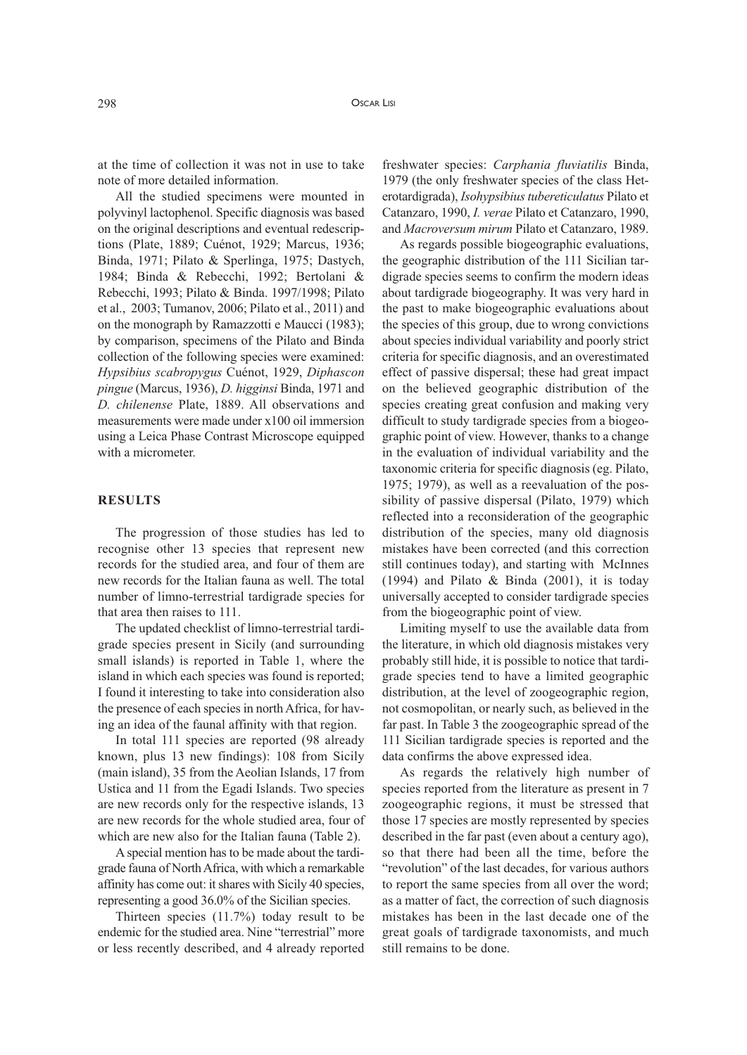at the time of collection it was not in use to take note of more detailed information.

All the studied specimens were mounted in polyvinyl lactophenol. Specific diagnosis was based on the original descriptions and eventual redescriptions (Plate, 1889; Cuénot, 1929; Marcus, 1936; Binda, 1971; Pilato & Sperlinga, 1975; Dastych, 1984; Binda & Rebecchi, 1992; Bertolani & Rebecchi, 1993; Pilato & Binda. 1997/1998; Pilato et al., 2003; Tumanov, 2006; Pilato et al., 2011) and on the monograph by Ramazzotti e Maucci (1983); by comparison, specimens of the Pilato and Binda collection of the following species were examined: *Hypsibius scabropygus* Cuénot, 1929, *Diphascon pingue* (Marcus, 1936), *D. higginsi* Binda, 1971 and *D. chilenense* Plate, 1889. All observations and measurements were made under x100 oil immersion using a Leica Phase Contrast Microscope equipped with a micrometer.

# **RESULTS**

The progression of those studies has led to recognise other 13 species that represent new records for the studied area, and four of them are new records for the Italian fauna as well. The total number of limno-terrestrial tardigrade species for that area then raises to 111.

The updated checklist of limno-terrestrial tardigrade species present in Sicily (and surrounding small islands) is reported in Table 1, where the island in which each species was found is reported; I found it interesting to take into consideration also the presence of each species in northAfrica, for having an idea of the faunal affinity with that region.

In total 111 species are reported (98 already known, plus 13 new findings): 108 from Sicily (main island), 35 from the Aeolian Islands, 17 from Ustica and 11 from the Egadi Islands. Two species are new records only for the respective islands, 13 are new records for the whole studied area, four of which are new also for the Italian fauna (Table 2).

Aspecial mention has to be made about the tardigrade fauna of NorthAfrica, with which a remarkable affinity has come out: itshares with Sicily 40 species, representing a good 36.0% of the Sicilian species.

Thirteen species (11.7%) today result to be endemic for the studied area. Nine "terrestrial" more or less recently described, and 4 already reported

freshwater species: *Carphania fluviatilis* Binda, 1979 (the only freshwater species of the class Heterotardigrada), *Isohypsibius tubereticulatus* Pilato et Catanzaro, 1990, *I. verae* Pilato et Catanzaro, 1990, and *Macroversum mirum* Pilato et Catanzaro, 1989.

As regards possible biogeographic evaluations, the geographic distribution of the 111 Sicilian tardigrade species seems to confirm the modern ideas about tardigrade biogeography. It was very hard in the past to make biogeographic evaluations about the species of this group, due to wrong convictions about species individual variability and poorly strict criteria for specific diagnosis, and an overestimated effect of passive dispersal; these had great impact on the believed geographic distribution of the species creating great confusion and making very difficult to study tardigrade species from a biogeographic point of view. However, thanks to a change in the evaluation of individual variability and the taxonomic criteria for specific diagnosis (eg. Pilato, 1975; 1979), as well as a reevaluation of the possibility of passive dispersal (Pilato, 1979) which reflected into a reconsideration of the geographic distribution of the species, many old diagnosis mistakes have been corrected (and this correction still continues today), and starting with McInnes (1994) and Pilato & Binda (2001), it is today universally accepted to consider tardigrade species from the biogeographic point of view.

Limiting myself to use the available data from the literature, in which old diagnosis mistakes very probably still hide, it is possible to notice that tardigrade species tend to have a limited geographic distribution, at the level of zoogeographic region, not cosmopolitan, or nearly such, as believed in the far past. In Table 3 the zoogeographic spread of the 111 Sicilian tardigrade species is reported and the data confirms the above expressed idea.

As regards the relatively high number of species reported from the literature as present in 7 zoogeographic regions, it must be stressed that those 17 species are mostly represented by species described in the far past (even about a century ago), so that there had been all the time, before the "revolution" of the last decades, for various authors to report the same species from all over the word; as a matter of fact, the correction of such diagnosis mistakes has been in the last decade one of the great goals of tardigrade taxonomists, and much still remains to be done.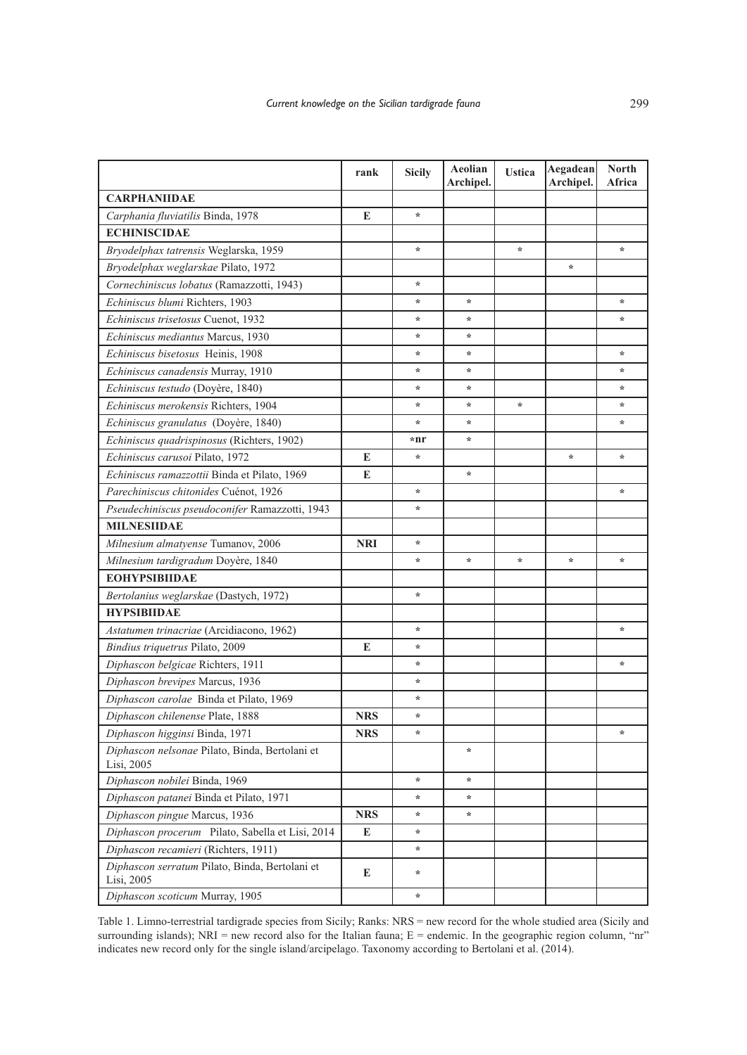|                                                              | rank       | <b>Sicily</b> | Aeolian<br>Archipel. | <b>Ustica</b> | Aegadean<br>Archipel. | <b>North</b><br>Africa |
|--------------------------------------------------------------|------------|---------------|----------------------|---------------|-----------------------|------------------------|
| <b>CARPHANIIDAE</b>                                          |            |               |                      |               |                       |                        |
| Carphania fluviatilis Binda, 1978                            | E          | $\star$       |                      |               |                       |                        |
| <b>ECHINISCIDAE</b>                                          |            |               |                      |               |                       |                        |
| Bryodelphax tatrensis Weglarska, 1959                        |            | $\ast$        |                      | $\star$       |                       | ÷                      |
| Bryodelphax weglarskae Pilato, 1972                          |            |               |                      |               | *                     |                        |
| Cornechiniscus lobatus (Ramazzotti, 1943)                    |            | $\star$       |                      |               |                       |                        |
| Echiniscus blumi Richters, 1903                              |            | $\star$       | $\star$              |               |                       | *                      |
| Echiniscus trisetosus Cuenot, 1932                           |            | $\star$       | *                    |               |                       | ÷                      |
| Echiniscus mediantus Marcus, 1930                            |            | $\ast$        | *                    |               |                       |                        |
| Echiniscus bisetosus Heinis, 1908                            |            | $\ast$        | ∗                    |               |                       | ÷                      |
| Echiniscus canadensis Murray, 1910                           |            | $\ast$        | *                    |               |                       | ÷                      |
| Echiniscus testudo (Doyère, 1840)                            |            | $\star$       | *                    |               |                       | ÷                      |
| Echiniscus merokensis Richters, 1904                         |            | $\star$       | $\ast$               | $\star$       |                       | ÷                      |
| Echiniscus granulatus (Doyère, 1840)                         |            | $\ast$        | ∗                    |               |                       | ÷                      |
| Echiniscus quadrispinosus (Richters, 1902)                   |            | $*nr$         | $\star$              |               |                       |                        |
| Echiniscus carusoi Pilato, 1972                              | E          | $\ast$        |                      |               | *                     | ÷                      |
| Echiniscus ramazzottii Binda et Pilato, 1969                 | E          |               | $\star$              |               |                       |                        |
| Parechiniscus chitonides Cuénot, 1926                        |            | $\star$       |                      |               |                       | ÷                      |
| Pseudechiniscus pseudoconifer Ramazzotti, 1943               |            | $\star$       |                      |               |                       |                        |
| <b>MILNESIIDAE</b>                                           |            |               |                      |               |                       |                        |
| Milnesium almatyense Tumanov, 2006                           | <b>NRI</b> | $\ast$        |                      |               |                       |                        |
| Milnesium tardigradum Doyère, 1840                           |            | $\star$       | $\star$              | $\star$       | $\star$               | ÷                      |
| <b>EOHYPSIBIIDAE</b>                                         |            |               |                      |               |                       |                        |
| Bertolanius weglarskae (Dastych, 1972)                       |            | $\star$       |                      |               |                       |                        |
| <b>HYPSIBIIDAE</b>                                           |            |               |                      |               |                       |                        |
| Astatumen trinacriae (Arcidiacono, 1962)                     |            | $\ast$        |                      |               |                       | ÷                      |
| Bindius triquetrus Pilato, 2009                              | E          | $\ast$        |                      |               |                       |                        |
| Diphascon belgicae Richters, 1911                            |            | $\star$       |                      |               |                       | ÷                      |
| Diphascon brevipes Marcus, 1936                              |            | $\star$       |                      |               |                       |                        |
| Diphascon carolae Binda et Pilato, 1969                      |            | $\ast$        |                      |               |                       |                        |
| Diphascon chilenense Plate, 1888                             | <b>NRS</b> | $\ast$        |                      |               |                       |                        |
| Diphascon higginsi Binda, 1971                               | <b>NRS</b> | $\ast$        |                      |               |                       | ÷                      |
| Diphascon nelsonae Pilato, Binda, Bertolani et<br>Lisi, 2005 |            |               | $\ast$               |               |                       |                        |
| Diphascon nobilei Binda, 1969                                |            | $\ast$        | ÷                    |               |                       |                        |
| Diphascon patanei Binda et Pilato, 1971                      |            | $\ast$        | ÷                    |               |                       |                        |
| Diphascon pingue Marcus, 1936                                | <b>NRS</b> | $\ast$        | ÷                    |               |                       |                        |
| Diphascon procerum Pilato, Sabella et Lisi, 2014             | Е          | $\ast$        |                      |               |                       |                        |
| Diphascon recamieri (Richters, 1911)                         |            | $\ast$        |                      |               |                       |                        |
| Diphascon serratum Pilato, Binda, Bertolani et<br>Lisi, 2005 | Е          | $\ast$        |                      |               |                       |                        |
| Diphascon scoticum Murray, 1905                              |            | $\ast$        |                      |               |                       |                        |

Table 1. Limno-terrestrial tardigrade species from Sicily; Ranks: NRS = new record for the whole studied area (Sicily and surrounding islands); NRI = new record also for the Italian fauna; E = endemic. In the geographic region column, "nr" indicates new record only for the single island/arcipelago. Taxonomy according to Bertolani et al. (2014).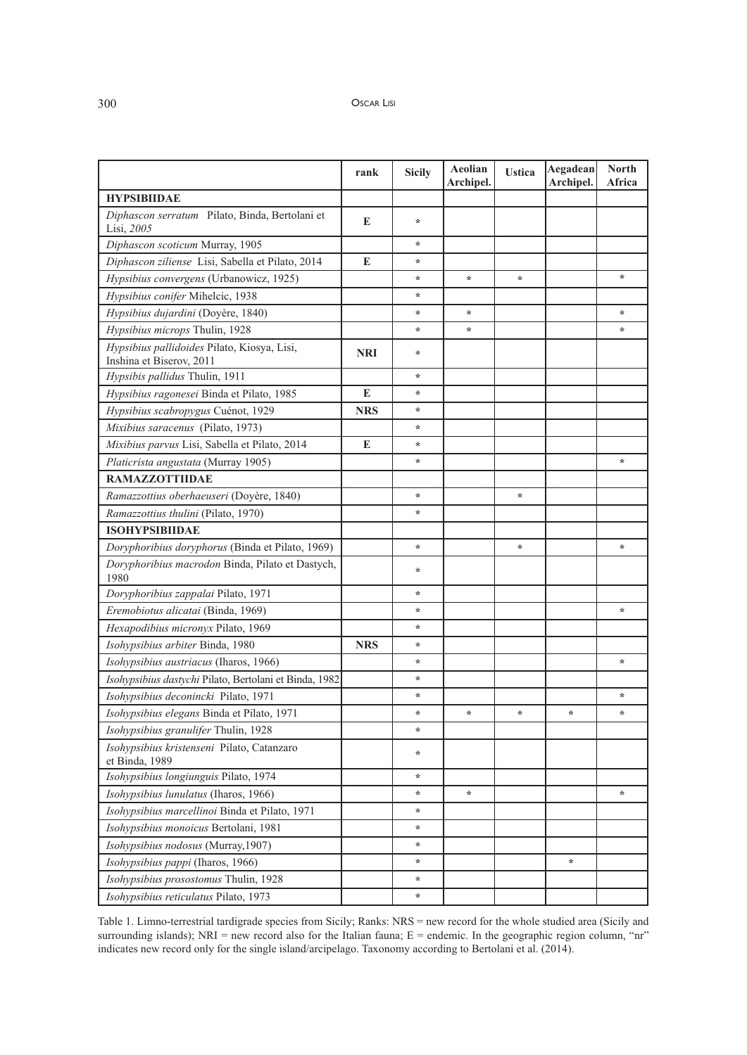|                                                                         | rank       | <b>Sicily</b> | Aeolian<br>Archipel. | <b>Ustica</b> | Aegadean<br>Archipel. | <b>North</b><br>Africa |
|-------------------------------------------------------------------------|------------|---------------|----------------------|---------------|-----------------------|------------------------|
| <b>HYPSIBIIDAE</b>                                                      |            |               |                      |               |                       |                        |
| Diphascon serratum Pilato, Binda, Bertolani et<br>Lisi, 2005            | E          | $\star$       |                      |               |                       |                        |
| Diphascon scoticum Murray, 1905                                         |            | $\star$       |                      |               |                       |                        |
| Diphascon ziliense Lisi, Sabella et Pilato, 2014                        | E          | $\star$       |                      |               |                       |                        |
| Hypsibius convergens (Urbanowicz, 1925)                                 |            | $\star$       | $\star$              | ÷             |                       | *                      |
| Hypsibius conifer Mihelcic, 1938                                        |            | $\star$       |                      |               |                       |                        |
| Hypsibius dujardini (Doyère, 1840)                                      |            | $\ast$        | $\ast$               |               |                       | $\star$                |
| Hypsibius microps Thulin, 1928                                          |            | $\ast$        | $\star$              |               |                       | ÷,                     |
| Hypsibius pallidoides Pilato, Kiosya, Lisi,<br>Inshina et Biserov, 2011 | NRI        | $\ast$        |                      |               |                       |                        |
| Hypsibis pallidus Thulin, 1911                                          |            | $\star$       |                      |               |                       |                        |
| Hypsibius ragonesei Binda et Pilato, 1985                               | E          | $\ast$        |                      |               |                       |                        |
| Hypsibius scabropygus Cuénot, 1929                                      | <b>NRS</b> | $\star$       |                      |               |                       |                        |
| Mixibius saracenus (Pilato, 1973)                                       |            | $\ast$        |                      |               |                       |                        |
| Mixibius parvus Lisi, Sabella et Pilato, 2014                           | E          | $\ast$        |                      |               |                       |                        |
| Platicrista angustata (Murray 1905)                                     |            | $\ast$        |                      |               |                       | ÷                      |
| <b>RAMAZZOTTIIDAE</b>                                                   |            |               |                      |               |                       |                        |
| Ramazzottius oberhaeuseri (Doyère, 1840)                                |            | $\ast$        |                      | ÷             |                       |                        |
| Ramazzottius thulini (Pilato, 1970)                                     |            | $\star$       |                      |               |                       |                        |
| <b>ISOHYPSIBIIDAE</b>                                                   |            |               |                      |               |                       |                        |
| Doryphoribius doryphorus (Binda et Pilato, 1969)                        |            | $\star$       |                      | $\star$       |                       | $\star$                |
| Doryphoribius macrodon Binda, Pilato et Dastych,<br>1980                |            | ∗             |                      |               |                       |                        |
| Doryphoribius zappalai Pilato, 1971                                     |            | $\ast$        |                      |               |                       |                        |
| Eremobiotus alicatai (Binda, 1969)                                      |            | $\star$       |                      |               |                       | $\star$                |
| Hexapodibius micronyx Pilato, 1969                                      |            | $\star$       |                      |               |                       |                        |
| Isohypsibius arbiter Binda, 1980                                        | <b>NRS</b> | $\star$       |                      |               |                       |                        |
| Isohypsibius austriacus (Iharos, 1966)                                  |            | $\star$       |                      |               |                       | ÷                      |
| Isohypsibius dastychi Pilato, Bertolani et Binda, 1982                  |            | $\star$       |                      |               |                       |                        |
| Isohypsibius deconincki Pilato, 1971                                    |            | $\ast$        |                      |               |                       | $\star$                |
| Isohypsibius elegans Binda et Pilato, 1971                              |            | $\ast$        | $\ast$               | ÷             | ÷                     | $\star$                |
| Isohypsibius granulifer Thulin, 1928                                    |            | ∗             |                      |               |                       |                        |
| Isohypsibius kristenseni Pilato, Catanzaro<br>et Binda, 1989            |            | $\ast$        |                      |               |                       |                        |
| Isohypsibius longiunguis Pilato, 1974                                   |            | $\star$       |                      |               |                       |                        |
| Isohypsibius lunulatus (Iharos, 1966)                                   |            | $\ast$        | $\ast$               |               |                       | $\star$                |
| Isohypsibius marcellinoi Binda et Pilato, 1971                          |            | $\ast$        |                      |               |                       |                        |
| Isohypsibius monoicus Bertolani, 1981                                   |            | $\ast$        |                      |               |                       |                        |
| Isohypsibius nodosus (Murray, 1907)                                     |            | $\ast$        |                      |               |                       |                        |
| Isohypsibius pappi (Iharos, 1966)                                       |            | $\ast$        |                      |               | *                     |                        |
| Isohypsibius prosostomus Thulin, 1928                                   |            | $\ast$        |                      |               |                       |                        |
| Isohypsibius reticulatus Pilato, 1973                                   |            | $\star$       |                      |               |                       |                        |

Table 1. Limno-terrestrial tardigrade species from Sicily; Ranks: NRS = new record for the whole studied area (Sicily and surrounding islands); NRI = new record also for the Italian fauna; E = endemic. In the geographic region column, "nr" indicates new record only for the single island/arcipelago. Taxonomy according to Bertolani et al. (2014).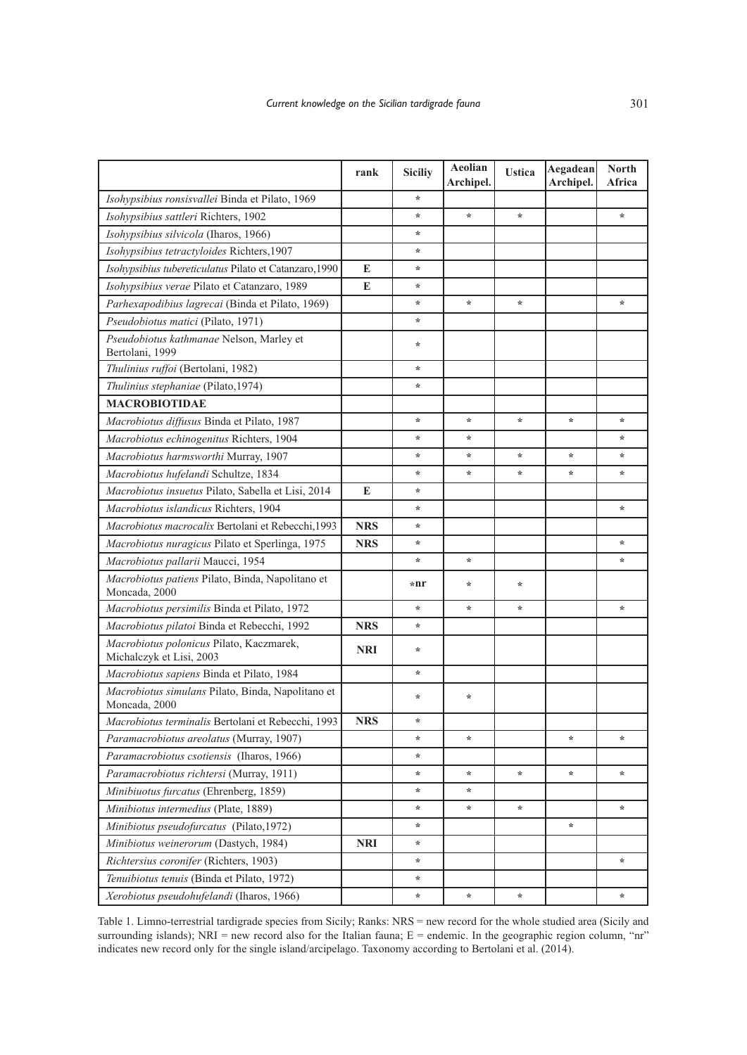|                                                                      | rank       | <b>Siciliy</b> | Aeolian<br>Archipel. | <b>Ustica</b> | Aegadean<br>Archipel. | <b>North</b><br>Africa |
|----------------------------------------------------------------------|------------|----------------|----------------------|---------------|-----------------------|------------------------|
| Isohypsibius ronsisvallei Binda et Pilato, 1969                      |            | $\star$        |                      |               |                       |                        |
| Isohypsibius sattleri Richters, 1902                                 |            | $\star$        | $\star$              | ÷             |                       | $\star$                |
| Isohypsibius silvicola (Iharos, 1966)                                |            | $\star$        |                      |               |                       |                        |
| Isohypsibius tetractyloides Richters, 1907                           |            | ÷              |                      |               |                       |                        |
| Isohypsibius tubereticulatus Pilato et Catanzaro, 1990               | E          | $\star$        |                      |               |                       |                        |
| Isohypsibius verae Pilato et Catanzaro, 1989                         | E          | $\star$        |                      |               |                       |                        |
| Parhexapodibius lagrecai (Binda et Pilato, 1969)                     |            | $\star$        | $\star$              | $\star$       |                       | $\star$                |
| Pseudobiotus matici (Pilato, 1971)                                   |            | $\ast$         |                      |               |                       |                        |
| Pseudobiotus kathmanae Nelson, Marley et<br>Bertolani, 1999          |            | ∗              |                      |               |                       |                        |
| Thulinius ruffoi (Bertolani, 1982)                                   |            | $\star$        |                      |               |                       |                        |
| Thulinius stephaniae (Pilato, 1974)                                  |            | ÷              |                      |               |                       |                        |
| <b>MACROBIOTIDAE</b>                                                 |            |                |                      |               |                       |                        |
| Macrobiotus diffusus Binda et Pilato, 1987                           |            | $\star$        | $\star$              | ÷             | $\star$               | $\star$                |
| Macrobiotus echinogenitus Richters, 1904                             |            | ÷              | ∗                    |               |                       | *                      |
| Macrobiotus harmsworthi Murray, 1907                                 |            | $\ast$         | $\ast$               | ÷             | *                     | $\ast$                 |
| Macrobiotus hufelandi Schultze, 1834                                 |            | $\star$        | *                    | ÷             | *                     | $\ast$                 |
| Macrobiotus insuetus Pilato, Sabella et Lisi, 2014                   | E          | $\star$        |                      |               |                       |                        |
| Macrobiotus islandicus Richters, 1904                                |            | $\ast$         |                      |               |                       | $\ast$                 |
| Macrobiotus macrocalix Bertolani et Rebecchi, 1993                   | <b>NRS</b> | $\star$        |                      |               |                       |                        |
| Macrobiotus nuragicus Pilato et Sperlinga, 1975                      | <b>NRS</b> | $\star$        |                      |               |                       | $\star$                |
| Macrobiotus pallarii Maucci, 1954                                    |            | $\ast$         | *                    |               |                       | ÷                      |
| Macrobiotus patiens Pilato, Binda, Napolitano et<br>Moncada, 2000    |            | *nr            | ÷                    | ÷             |                       |                        |
| Macrobiotus persimilis Binda et Pilato, 1972                         |            | ÷              | *                    | ÷             |                       | $\ast$                 |
| Macrobiotus pilatoi Binda et Rebecchi, 1992                          | <b>NRS</b> | $\star$        |                      |               |                       |                        |
| Macrobiotus polonicus Pilato, Kaczmarek,<br>Michalczyk et Lisi, 2003 | <b>NRI</b> | $\ast$         |                      |               |                       |                        |
| Macrobiotus sapiens Binda et Pilato, 1984                            |            | $\ast$         |                      |               |                       |                        |
| Macrobiotus simulans Pilato, Binda, Napolitano et<br>Moncada, 2000   |            | $\ast$         | $\ast$               |               |                       |                        |
| Macrobiotus terminalis Bertolani et Rebecchi, 1993                   | <b>NRS</b> | $\ast$         |                      |               |                       |                        |
| Paramacrobiotus areolatus (Murray, 1907)                             |            | $\star$        | $\star$              |               | $\star$               | $\star$                |
| Paramacrobiotus csotiensis (Iharos, 1966)                            |            | $\ast$         |                      |               |                       |                        |
| Paramacrobiotus richtersi (Murray, 1911)                             |            | $\ast$         | ÷                    | ÷             | $\star$               | $\star$                |
| Minibiuotus furcatus (Ehrenberg, 1859)                               |            | $\ast$         | *                    |               |                       |                        |
| Minibiotus intermedius (Plate, 1889)                                 |            | $\star$        | $\ast$               | ÷,            |                       | $\star$                |
| Minibiotus pseudofurcatus (Pilato, 1972)                             |            | $\ast$         |                      |               | $\star$               |                        |
| Minibiotus weinerorum (Dastych, 1984)                                | <b>NRI</b> | $\ast$         |                      |               |                       |                        |
| Richtersius coronifer (Richters, 1903)                               |            | $\ast$         |                      |               |                       | $\star$                |
| Tenuibiotus tenuis (Binda et Pilato, 1972)                           |            | $\ast$         |                      |               |                       |                        |
| Xerobiotus pseudohufelandi (Iharos, 1966)                            |            | $\ast$         | $\ast$               | ÷             |                       | ÷                      |

Table 1. Limno-terrestrial tardigrade species from Sicily; Ranks: NRS = new record for the whole studied area (Sicily and surrounding islands); NRI = new record also for the Italian fauna; E = endemic. In the geographic region column, "nr" indicates new record only for the single island/arcipelago. Taxonomy according to Bertolani et al. (2014).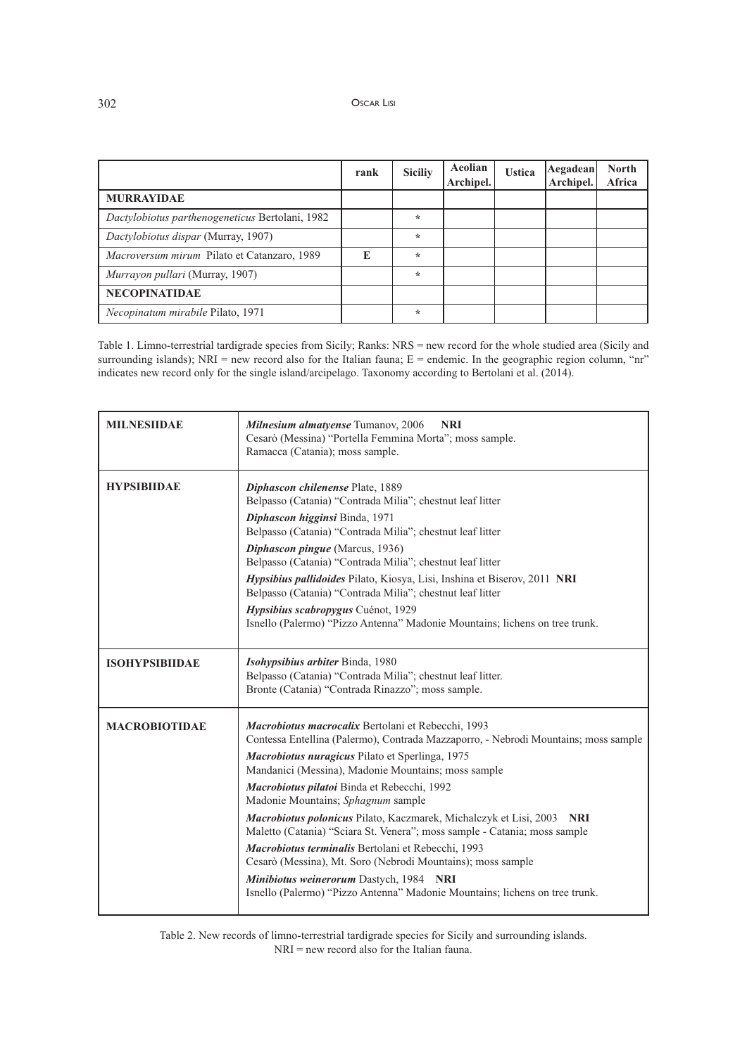# 302 OSCAR LISI

|                                                    | rank | <b>Siciliy</b> | Aeolian<br>Archipel. | <b>Ustica</b> | Aegadean<br>Archipel. | <b>North</b><br>Africa |
|----------------------------------------------------|------|----------------|----------------------|---------------|-----------------------|------------------------|
| <b>MURRAYIDAE</b>                                  |      |                |                      |               |                       |                        |
| Dactylobiotus parthenogeneticus Bertolani, 1982    |      | $\star$        |                      |               |                       |                        |
| Dactylobiotus dispar (Murray, 1907)                |      | $\star$        |                      |               |                       |                        |
| <i>Macroversum mirum</i> Pilato et Catanzaro, 1989 | E    | $\star$        |                      |               |                       |                        |
| <i>Murrayon pullari</i> (Murray, 1907)             |      | $\star$        |                      |               |                       |                        |
| <b>NECOPINATIDAE</b>                               |      |                |                      |               |                       |                        |
| <i>Necopinatum mirabile Pilato, 1971</i>           |      | $\ast$         |                      |               |                       |                        |

Table 1. Limno-terrestrial tardigrade species from Sicily; Ranks: NRS = new record for the whole studied area (Sicily and surrounding islands); NRI = new record also for the Italian fauna; E = endemic. In the geographic region column, "nr" indicates new record only for the single island/arcipelago. Taxonomy according to Bertolani et al. (2014).

| <b>MILNESHDAE</b>     | Milnesium almatyense Tumanov, 2006<br><b>NRI</b><br>Cesarò (Messina) "Portella Femmina Morta"; moss sample.<br>Ramacca (Catania); moss sample.                                                                                                                                                                                                                                                                                                                                                                                                                                                                                                                                                                                                          |
|-----------------------|---------------------------------------------------------------------------------------------------------------------------------------------------------------------------------------------------------------------------------------------------------------------------------------------------------------------------------------------------------------------------------------------------------------------------------------------------------------------------------------------------------------------------------------------------------------------------------------------------------------------------------------------------------------------------------------------------------------------------------------------------------|
| <b>HYPSIBIIDAE</b>    | Diphascon chilenense Plate, 1889<br>Belpasso (Catania) "Contrada Milia"; chestnut leaf litter<br>Diphascon higginsi Binda, 1971<br>Belpasso (Catania) "Contrada Milia"; chestnut leaf litter<br>Diphascon pingue (Marcus, 1936)<br>Belpasso (Catania) "Contrada Milia"; chestnut leaf litter<br>Hypsibius pallidoides Pilato, Kiosya, Lisi, Inshina et Biserov, 2011 NRI<br>Belpasso (Catania) "Contrada Milìa"; chestnut leaf litter<br>Hypsibius scabropygus Cuénot, 1929<br>Isnello (Palermo) "Pizzo Antenna" Madonie Mountains; lichens on tree trunk.                                                                                                                                                                                              |
| <b>ISOHYPSIBIIDAE</b> | Isohypsibius arbiter Binda, 1980<br>Belpasso (Catania) "Contrada Milìa"; chestnut leaf litter.<br>Bronte (Catania) "Contrada Rinazzo"; moss sample.                                                                                                                                                                                                                                                                                                                                                                                                                                                                                                                                                                                                     |
| <b>MACROBIOTIDAE</b>  | Macrobiotus macrocalix Bertolani et Rebecchi, 1993<br>Contessa Entellina (Palermo), Contrada Mazzaporro, - Nebrodi Mountains; moss sample<br>Macrobiotus nuragicus Pilato et Sperlinga, 1975<br>Mandanici (Messina), Madonie Mountains; moss sample<br>Macrobiotus pilatoi Binda et Rebecchi, 1992<br>Madonie Mountains; Sphagnum sample<br>Macrobiotus polonicus Pilato, Kaczmarek, Michalczyk et Lisi, 2003<br><b>NRI</b><br>Maletto (Catania) "Sciara St. Venera"; moss sample - Catania; moss sample<br>Macrobiotus terminalis Bertolani et Rebecchi, 1993<br>Cesarò (Messina), Mt. Soro (Nebrodi Mountains); moss sample<br>Minibiotus weinerorum Dastych, 1984 NRI<br>Isnello (Palermo) "Pizzo Antenna" Madonie Mountains; lichens on tree trunk. |

Table 2. New records of limno-terrestrial tardigrade species for Sicily and surrounding islands. NRI = new record also for the Italian fauna.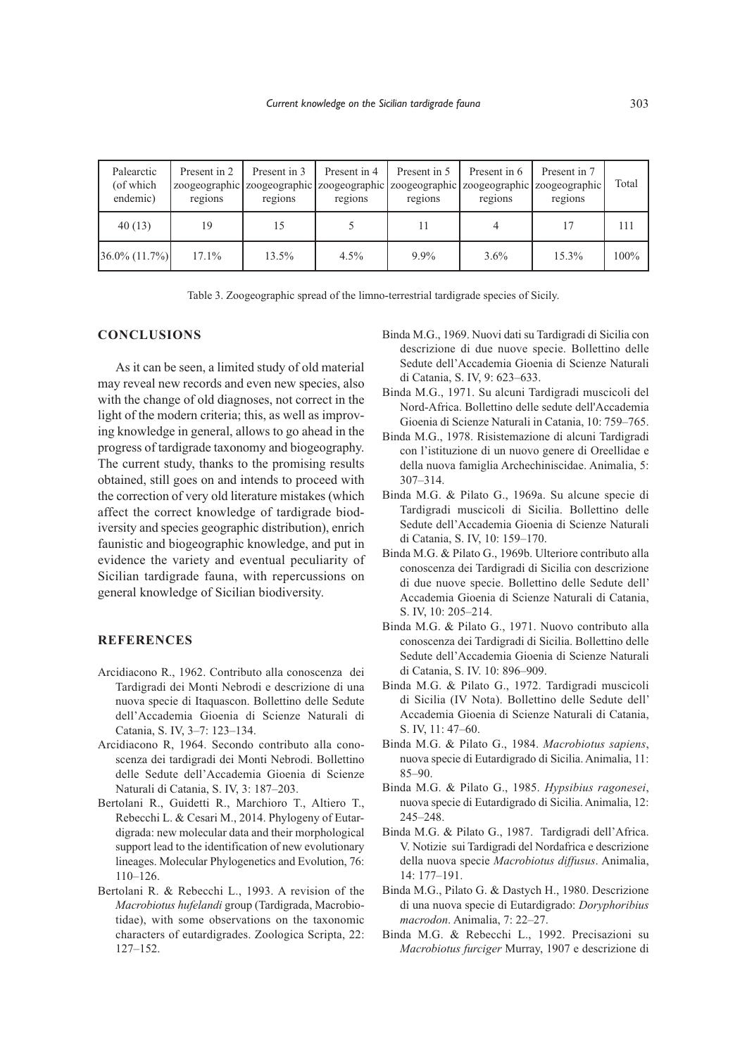| Palearctic<br>(of which<br>endemic) | Present in 2<br>regions | Present in 3<br>regions | Present in 4<br>regions | Present in 5<br>regions | Present in 6<br>regions | Present in 7<br>zoogeographic zoogeographic zoogeographic zoogeographic zoogeographic zoogeographic<br>regions | Total   |
|-------------------------------------|-------------------------|-------------------------|-------------------------|-------------------------|-------------------------|----------------------------------------------------------------------------------------------------------------|---------|
| 40(13)                              | 19                      | 15                      |                         | 11                      |                         | 17                                                                                                             | 111     |
| $36.0\% (11.7\%)$                   | $17.1\%$                | 13.5%                   | $4.5\%$                 | $9.9\%$                 | $3.6\%$                 | 15.3%                                                                                                          | $100\%$ |

Table 3. Zoogeographic spread of the limno-terrestrial tardigrade species of Sicily.

# **CONCLUSIONS**

As it can be seen, a limited study of old material may reveal new records and even new species, also with the change of old diagnoses, not correct in the light of the modern criteria; this, as well as improving knowledge in general, allows to go ahead in the progress of tardigrade taxonomy and biogeography. The current study, thanks to the promising results obtained, still goes on and intends to proceed with the correction of very old literature mistakes (which affect the correct knowledge of tardigrade biodiversity and species geographic distribution), enrich faunistic and biogeographic knowledge, and put in evidence the variety and eventual peculiarity of Sicilian tardigrade fauna, with repercussions on general knowledge of Sicilian biodiversity.

# **REFERENCES**

- Arcidiacono R., 1962. Contributo alla conoscenza dei Tardigradi dei Monti Nebrodi e descrizione di una nuova specie di Itaquascon. Bollettino delle Sedute dell'Accademia Gioenia di Scienze Naturali di Catania, S. IV, 3–7: 123–134.
- Arcidiacono R, 1964. Secondo contributo alla conoscenza dei tardigradi dei Monti Nebrodi. Bollettino delle Sedute dell'Accademia Gioenia di Scienze Naturali di Catania, S. IV, 3: 187–203.
- Bertolani R., Guidetti R., Marchioro T., Altiero T., Rebecchi L. & Cesari M., 2014. Phylogeny of Eutardigrada: new molecular data and their morphological support lead to the identification of new evolutionary lineages. Molecular Phylogenetics and Evolution, 76: 110–126.
- Bertolani R. & Rebecchi L., 1993. A revision of the *Macrobiotus hufelandi* group (Tardigrada, Macrobiotidae), with some observations on the taxonomic characters of eutardigrades. Zoologica Scripta, 22: 127–152.
- Binda M.G., 1969. Nuovi dati su Tardigradi di Sicilia con descrizione di due nuove specie. Bollettino delle Sedute dell'Accademia Gioenia di Scienze Naturali di Catania, S. IV, 9: 623–633.
- Binda M.G., 1971. Su alcuni Tardigradi muscicoli del Nord-Africa. Bollettino delle sedute dell'Accademia Gioenia di Scienze Naturali in Catania, 10: 759–765.
- Binda M.G., 1978. Risistemazione di alcuni Tardigradi con l'istituzione di un nuovo genere di Oreellidae e della nuova famiglia Archechiniscidae. Animalia, 5: 307–314.
- Binda M.G. & Pilato G., 1969a. Su alcune specie di Tardigradi muscicoli di Sicilia. Bollettino delle Sedute dell'Accademia Gioenia di Scienze Naturali di Catania, S. IV, 10: 159–170.
- Binda M.G. & Pilato G., 1969b. Ulteriore contributo alla conoscenza dei Tardigradi di Sicilia con descrizione di due nuove specie. Bollettino delle Sedute dell' Accademia Gioenia di Scienze Naturali di Catania, S. IV, 10: 205–214.
- Binda M.G. & Pilato G., 1971. Nuovo contributo alla conoscenza dei Tardigradi di Sicilia. Bollettino delle Sedute dell'Accademia Gioenia di Scienze Naturali di Catania, S. IV. 10: 896–909.
- Binda M.G. & Pilato G., 1972. Tardigradi muscicoli di Sicilia (IV Nota). Bollettino delle Sedute dell' Accademia Gioenia di Scienze Naturali di Catania, S. IV, 11: 47–60.
- Binda M.G. & Pilato G., 1984. *Macrobiotus sapiens*, nuova specie di Eutardigrado di Sicilia. Animalia, 11: 85–90.
- Binda M.G. & Pilato G., 1985. *Hypsibius ragonesei*, nuova specie di Eutardigrado di Sicilia. Animalia, 12: 245–248.
- Binda M.G. & Pilato G., 1987. Tardigradi dell'Africa. V. Notizie sui Tardigradi del Nordafrica e descrizione della nuova specie *Macrobiotus diffusus*. Animalia, 14: 177–191.
- Binda M.G., Pilato G. & Dastych H., 1980. Descrizione di una nuova specie di Eutardigrado: *Doryphoribius macrodon*. Animalia, 7: 22–27.
- Binda M.G. & Rebecchi L., 1992. Precisazioni su *Macrobiotus furciger* Murray, 1907 e descrizione di